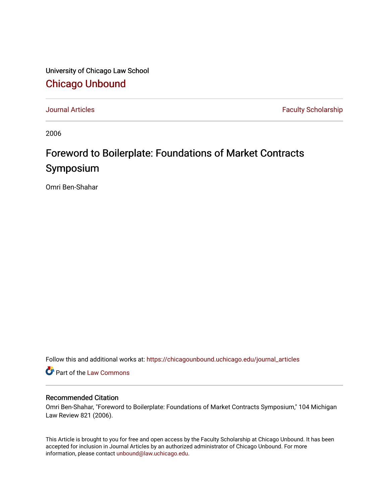University of Chicago Law School [Chicago Unbound](https://chicagounbound.uchicago.edu/)

[Journal Articles](https://chicagounbound.uchicago.edu/journal_articles) **Faculty Scholarship Faculty Scholarship** 

2006

# Foreword to Boilerplate: Foundations of Market Contracts Symposium

Omri Ben-Shahar

Follow this and additional works at: [https://chicagounbound.uchicago.edu/journal\\_articles](https://chicagounbound.uchicago.edu/journal_articles?utm_source=chicagounbound.uchicago.edu%2Fjournal_articles%2F1072&utm_medium=PDF&utm_campaign=PDFCoverPages) 

Part of the [Law Commons](http://network.bepress.com/hgg/discipline/578?utm_source=chicagounbound.uchicago.edu%2Fjournal_articles%2F1072&utm_medium=PDF&utm_campaign=PDFCoverPages)

## Recommended Citation

Omri Ben-Shahar, "Foreword to Boilerplate: Foundations of Market Contracts Symposium," 104 Michigan Law Review 821 (2006).

This Article is brought to you for free and open access by the Faculty Scholarship at Chicago Unbound. It has been accepted for inclusion in Journal Articles by an authorized administrator of Chicago Unbound. For more information, please contact [unbound@law.uchicago.edu](mailto:unbound@law.uchicago.edu).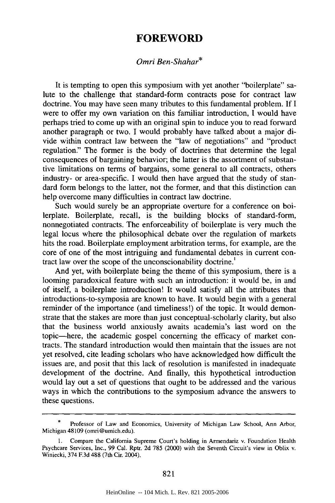# **FOREWORD**

### *Omri Ben-Shahar\**

It is tempting to open this symposium with yet another "boilerplate" salute to the challenge that standard-form contracts pose for contract law doctrine. You may have seen many tributes to this fundamental problem. **If I** were to offer my own variation on this familiar introduction, **I** would have perhaps tried to come up with an original spin to induce you to read forward another paragraph or two. **I** would probably have talked about a major divide within contract law between the "law of negotiations" and "product regulation." The former is the body of doctrines that determine the legal consequences of bargaining behavior; the latter is the assortment of substantive limitations on terms of bargains, some general to all contracts, others industry- or area-specific. I would then have argued that the study of standard form belongs to the latter, not the former, and that this distinction can help overcome many difficulties in contract law doctrine.

Such would surely be an appropriate overture for a conference on boilerplate. Boilerplate, recall, is the building blocks of standard-form, nonnegotiated contracts. The enforceability of boilerplate is very much the legal locus where the philosophical debate over the regulation of markets hits the road. Boilerplate employment arbitration terms, for example, are the core of one of the most intriguing and fundamental debates in current contract law over the scope of the unconscionability doctrine.'

And yet, with boilerplate being the theme of this symposium, there is a looming paradoxical feature with such an introduction: it would be, in and of itself, a boilerplate introduction! It would satisfy all the attributes that introductions-to-symposia are known to have. It would begin with a general reminder of the importance (and timeliness!) of the topic. It would demonstrate that the stakes are more than just conceptual-scholarly clarity, but also that the business world anxiously awaits academia's last word on the topic-here, the academic gospel concerning the efficacy of market contracts. The standard introduction would then maintain that the issues are not yet resolved, cite leading scholars who have acknowledged how difficult the issues are, and posit that this lack of resolution is manifested in inadequate development of the doctrine. And finally, this hypothetical introduction would lay out a set of questions that ought to be addressed and the various ways in which the contributions to the symposium advance the answers to these questions.

Professor of Law and Economics, University of Michigan Law School, Ann Arbor, Michigan 48109 (omri@umich.edu).

<sup>1.</sup> Compare the California Supreme Court's holding in Armendariz v. Foundation Health Psychcare Services, Inc., 99 Cal. Rptr. 2d 785 (2000) with the Seventh Circuit's view in Oblix v. Winiecki, 374 F.3d 488 (7th Cir. 2004).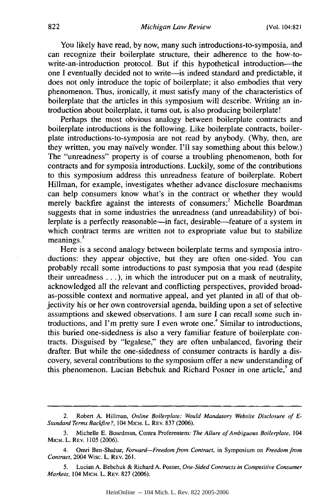You likely have read, by now, many such introductions-to-symposia, and can recognize their boilerplate structure, their adherence to the how-towrite-an-introduction protocol. But if this hypothetical introduction--- the one I eventually decided not to write—is indeed standard and predictable, it does not only introduce the topic of boilerplate; it also embodies that very phenomenon. Thus, ironically, it must satisfy many of the characteristics of boilerplate that the articles in this symposium will describe. Writing an introduction about boilerplate, it turns out, is also producing boilerplate!

Perhaps the most obvious analogy between boilerplate contracts and boilerplate introductions is the following. Like boilerplate contracts, boilerplate introductions-to-symposia are not read by anybody. (Why, then, are they written, you may naively wonder. I'll say something about this below.) The "unreadness" property is of course a troubling phenomenon, both for contracts and for symposia introductions. Luckily, some of the contributions to this symposium address this unreadness feature of boilerplate. Robert Hillman, for example, investigates whether advance disclosure mechanisms can help consumers know what's in the contract or whether they would merely backfire against the interests of consumers;<sup>2</sup> Michelle Boardman suggests that in some industries the unreadness (and unreadability) of boilerplate is a perfectly reasonable—in fact, desirable—feature of a system in which contract terms are written not to expropriate value but to stabilize meanings.<sup>3</sup>

Here is a second analogy between boilerplate terms and symposia introductions: they appear objective, but they are often one-sided. You can probably recall some introductions to past symposia that you read (despite their unreadness ... ), in which the introducer put on a mask of neutrality, acknowledged all the relevant and conflicting perspectives, provided broadas-possible context and normative appeal, and yet planted in all of that objectivity his or her own controversial agenda, building upon a set of selective assumptions and skewed observations. I am sure I can recall some such introductions, and I'm pretty sure I even wrote one.<sup>4</sup> Similar to introductions, this buried one-sidedness is also a very familiar feature of boilerplate contracts. Disguised by "legalese," they are often unbalanced, favoring their drafter. But while the one-sidedness of consumer contracts is hardly a discovery, several contributions to the symposium offer a new understanding of this phenomenon. Lucian Bebchuk and Richard Posner in one article,<sup>5</sup> and

<sup>2.</sup> Robert A. Hillman, *Online Boilerplate: Would Mandatory Website Disclosure of E-Standard Terms Backfire?,* 104 MICH. L. REV. 837 (2006).

<sup>3.</sup> Michelle E. Boardman, Contra Proferentem: *The Allure of Ambiguous Boilerplate, 104* MIcH. L. REV. 1105 (2006).

<sup>4.</sup> Omri Ben-Shahar, *Forward-Freedom from Contract,* in Symposium on *Freedom from Contract,* 2004 Wisc. L. REV. 261.

<sup>5.</sup> Lucian A. Bebchuk & Richard A. Posner, *One-Sided Contracts in Competitive Consumer Markets.* 104 MICH. L. REV. 827 (2006).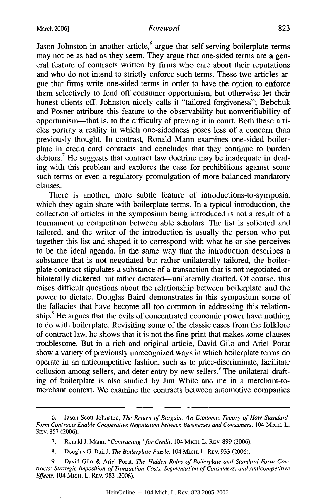Jason Johnston in another article,<sup>6</sup> argue that self-serving boilerplate terms may not be as bad as they seem. They argue that one-sided terms are a general feature of contracts written by firms who care about their reputations and who do not intend to strictly enforce such terms. These two articles argue that firms write one-sided terms in order to have the option to enforce them selectively to fend off consumer opportunism, but otherwise let their honest clients off. Johnston nicely calls it "tailored forgiveness"; Bebchuk and Posner attribute this feature to the observability but nonverifiability of opportunism-that is, to the difficulty of proving it in court. Both these articles portray a reality in which one-sidedness poses less of a concern than previously thought. In contrast, Ronald Mann examines one-sided boilerplate in credit card contracts and concludes that they continue to burden debtors.<sup>7</sup> He suggests that contract law doctrine may be inadequate in dealing with this problem and explores the case for prohibitions against some such terms or even a regulatory promulgation of more balanced mandatory clauses.

There is another, more subtle feature of introductions-to-symposia, which they again share with boilerplate terms. In a typical introduction, the collection of articles in the symposium being introduced is not a result of a tournament or competition between able scholars. The list is solicited and tailored, and the writer of the introduction is usually the person who put together this list and shaped it to correspond with what he or she perceives to be the ideal agenda. In the same way that the introduction describes a substance that is not negotiated but rather unilaterally tailored, the boilerplate contract stipulates a substance of a transaction that is not negotiated or bilaterally dickered but rather dictated-unilaterally drafted. Of course, this raises difficult questions about the relationship between boilerplate and the power to dictate. Douglas Baird demonstrates in this symposium some of the fallacies that have become all too common in addressing this relationship.<sup>8</sup> He argues that the evils of concentrated economic power have nothing to do with boilerplate. Revisiting some of the classic cases from the folklore of contract law, he shows that it is not the fine print that makes some clauses troublesome. But in a rich and original article, David Gilo and Ariel Porat show a variety of previously unrecognized ways in which boilerplate terms do operate in an anticompetitive fashion, such as to price-discriminate, facilitate collusion among sellers, and deter entry by new sellers.<sup>9</sup> The unilateral drafting of boilerplate is also studied by Jim White and me in a merchant-tomerchant context. We examine the contracts between automotive companies

Jason Scott Johnston, *The Return of Bargain: An Economic Theory of How Standard-Form Contracts Enable Cooperative Negotiation between Businesses and Consumers,* 104 MICH. L. REV. 857 (2006).

<sup>7.</sup> Ronald J. Mann, *"Contracting "for Credit,* 104 MICH. L. REV. 899 (2006).

<sup>8.</sup> Douglas G. Baird, *The Boilerplate Puzzle,* 104 MICH. L. REV. 933 (2006).

<sup>9.</sup> David Gilo & Ariel Porat, *The Hidden Roles of Boilerplate and Standard-Form Contracts: Strategic Imposition of Transaction Costs, Segmentation of Consumers, and Anticompetitive Effects,* 104 MICH. L. REV. 983 (2006).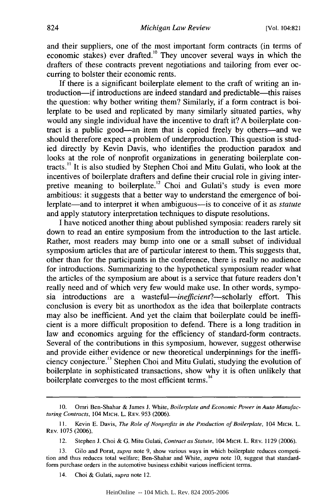and their suppliers, one of the most important form contracts (in terms of economic stakes) ever drafted.<sup>10</sup> They uncover several ways in which the drafters of these contracts prevent negotiations and tailoring from ever occurring to bolster their economic rents.

If there is a significant boilerplate element to the craft of writing an introduction-if introductions are indeed standard and predictable-this raises the question: why bother writing them? Similarly, if a form contract is boilerplate to be used and replicated by many similarly situated parties, why would any single individual have the incentive to draft it? A boilerplate contract is a public good-an item that is copied freely by others-and we should therefore expect a problem of underproduction. This question is studied directly by Kevin Davis, who identifies the production paradox and looks at the role of nonprofit organizations in generating boilerplate contracts." It is also studied by Stephen Choi and Mitu Gulati, who look at the incentives of boilerplate drafters and define their crucial role in giving interpretive meaning to boilerplate.<sup>12</sup> Choi and Gulati's study is even more ambitious: it suggests that a better way to understand the emergence of boilerplate—and to interpret it when ambiguous—is to conceive of it as *statute* and apply statutory interpretation techniques to dispute resolutions.

I have noticed another thing about published symposia: readers rarely sit down to read an entire symposium from the introduction to the last article. Rather, most readers may bump into one or a small subset of individual symposium articles that are of particular interest to them. This suggests that, other than for the participants in the conference, there is really no audience for introductions. Summarizing to the hypothetical symposium reader what the articles of the symposium are about is a service that future readers don't really need and of which very few would make use. In other words, symposia introductions are a wasteful-inefficient?-scholarly effort. This conclusion is every bit as unorthodox as the idea that boilerplate contracts may also be inefficient. And yet the claim that boilerplate could be inefficient is a more difficult proposition to defend. There is a long tradition in law and economics arguing for the efficiency of standard-form contracts. Several of the contributions in this symposium, however, suggest otherwise and provide either evidence or new theoretical underpinnings for the inefficiency conjecture.<sup>13</sup> Stephen Choi and Mitu Gulati, studying the evolution of boilerplate in sophisticated transactions, show why it is often unlikely that boilerplate converges to the most efficient terms. **<sup>4</sup>**

14. Choi & Gulati, *supra* note 12.

<sup>10.</sup> Omri Ben-Shahar & James J. White, *Boilerplate and Economic Power in Auto Manufacturing Contracts,* 104 MICH. L. REV. 953 (2006).

<sup>11.</sup> Kevin E. Davis, *The Role of Nonprofits in the Production of Boilerplate,* 104 MICH. L. REV. 1075 (2006).

<sup>12.</sup> Stephen J. Choi & G. Mitu Gulati, *Contract as Statute,* 104 **MICH.** L. REv. 1129 (2006).

<sup>13.</sup> Gilo and Porat, *supra* note 9, show various ways in which boilerplate reduces competition and thus reduces total welfare; Ben-Shahar and White, *supra* note 10, suggest that standardform purchase orders in the automotive business exhibit various inefficient terms.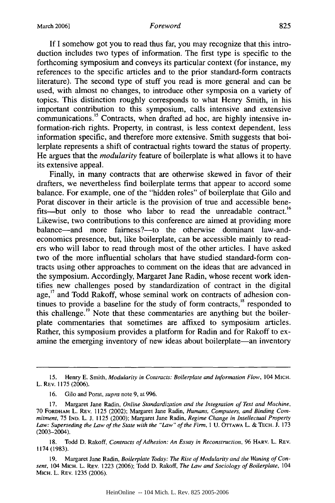If I somehow got you to read thus far, you may recognize that this introduction includes two types of information. The first type is specific to the forthcoming symposium and conveys its particular context (for instance, my references to the specific articles and to the prior standard-form contracts literature). The second type of stuff you read is more general and can be used, with almost no changes, to introduce other symposia on a variety of topics. This distinction roughly corresponds to what Henry Smith, in his important contribution to this symposium, calls intensive and extensive communications.<sup>15</sup> Contracts, when drafted ad hoc, are highly intensive information-rich rights. Property, in contrast, is less context dependent, less information specific, and therefore more extensive. Smith suggests that boilerplate represents a shift of contractual rights toward the status of property. He argues that the *modularity* feature of boilerplate is what allows it to have its extensive appeal.

Finally, in many contracts that are otherwise skewed in favor of their drafters, we nevertheless find boilerplate terms that appear to accord some balance. For example, one of the "hidden roles" of boilerplate that Gilo and Porat discover in their article is the provision of true and accessible benefits-but only to those who labor to read the unreadable contract.<sup>16</sup> Likewise, two contributions to this conference are aimed at providing more balance-and more fairness?--to the otherwise dominant law-andeconomics presence, but, like boilerplate, can be accessible mainly to readers who will labor to read through most of the other articles. I have asked two of the more influential scholars that have studied standard-form contracts using other approaches to comment on the ideas that are advanced in the symposium. Accordingly, Margaret Jane Radin, whose recent work identifies new challenges posed by standardization of contract in the digital age, $\frac{1}{2}$  and Todd Rakoff, whose seminal work on contracts of adhesion continues to provide a baseline for the study of form contracts, $<sup>18</sup>$  responded to</sup> this challenge.<sup>19</sup> Note that these commentaries are anything but the boilerplate commentaries that sometimes are affixed to symposium articles. Rather, this symposium provides a platform for Radin and for Rakoff to examine the emerging inventory of new ideas about boilerplate—an inventory

18. Todd D. Rakoff, *Contracts of Adhesion: An Essay in Reconstruction,* 96 **HARV.** L. REV. 1174 (1983).

19. Margaret Jane Radin, *Boilerplate Today: The Rise of Modularity and the Waning of Consent,* 104 MICH. L. REV. 1223 (2006); Todd D. Rakoff, *The Law and Sociology of Boilerplate, 104* MIcH. L. REV. 1235 (2006).

<sup>15.</sup> Henry E. Smith, *Modularity in Contracts: Boilerplate and Information Flow,* 104 MicH. L. REv. 1175 (2006).

<sup>16.</sup> Gilo and Porat, *supra* note 9, at 996.

<sup>17.</sup> Margaret Jane Radin, *Online Standardization and the Integration of Text and Machine,* 70 **FORDHAM** L. REV. 1125 (2002); Margaret Jane Radin, *Humans, Computers, and Binding Commitment,* 75 **IND.** L. J. 1125 (2000); Margaret Jane Radin, *Regime Change in Intellectual Property Law: Superseding the Law of the State with the "Law" of the Firm, 1 U. OTTAWA L. & TECH. J. 173* (2003-2004).